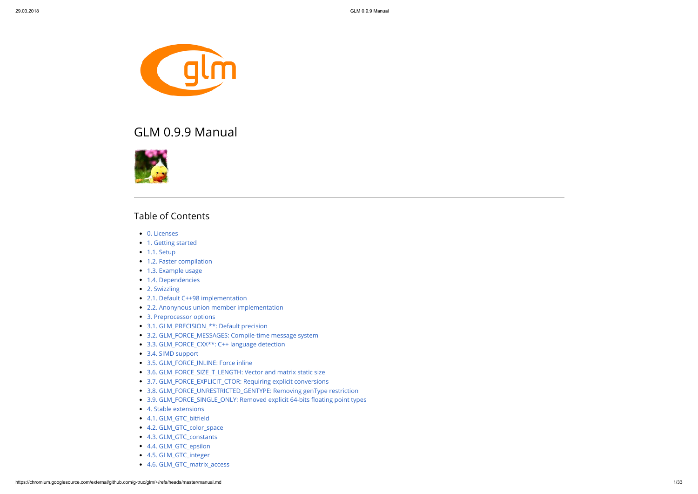

# GLM 0.9.9 Manual



# Table of Contents

- [0. Licenses](#page-2-0)
- [1. Getting started](#page-2-1)
- $\bullet$  [1.1. Setup](#page-2-2)
- [1.2. Faster compilation](#page-3-0)
- [1.3. Example usage](#page-3-1)
- [1.4. Dependencies](#page-4-0)
- [2. Swizzling](#page-4-1)
- [2.1. Default C++98 implementation](#page-4-2)
- [2.2. Anonynous union member implementation](#page-5-0)
- [3. Preprocessor options](#page-6-0)
- [3.1. GLM\\_PRECISION\\_\\*\\*: Default precision](#page-6-1)
- [3.2. GLM\\_FORCE\\_MESSAGES: Compile-time message system](#page-7-0)
- [3.3. GLM\\_FORCE\\_CXX\\*\\*: C++ language detection](#page-7-1)
- [3.4. SIMD support](#page-7-2)
- [3.5. GLM\\_FORCE\\_INLINE: Force inline](#page-8-0)
- [3.6. GLM\\_FORCE\\_SIZE\\_T\\_LENGTH: Vector and matrix static size](#page-8-1)
- [3.7. GLM\\_FORCE\\_EXPLICIT\\_CTOR: Requiring explicit conversions](#page-8-2)
- [3.8. GLM\\_FORCE\\_UNRESTRICTED\\_GENTYPE: Removing genType restriction](#page-9-0)
- 3.9. GLM\_FORCE\_SINGLE\_ONLY: Removed explicit 64-bits floating point types
- [4. Stable extensions](#page-10-0)
- 4.1. GLM\_GTC\_bitfield
- [4.2. GLM\\_GTC\\_color\\_space](#page-10-2)
- [4.3. GLM\\_GTC\\_constants](#page-10-3)
- [4.4. GLM\\_GTC\\_epsilon](#page-10-4)
- [4.5. GLM\\_GTC\\_integer](#page-11-0)
- [4.6. GLM\\_GTC\\_matrix\\_access](#page-11-1)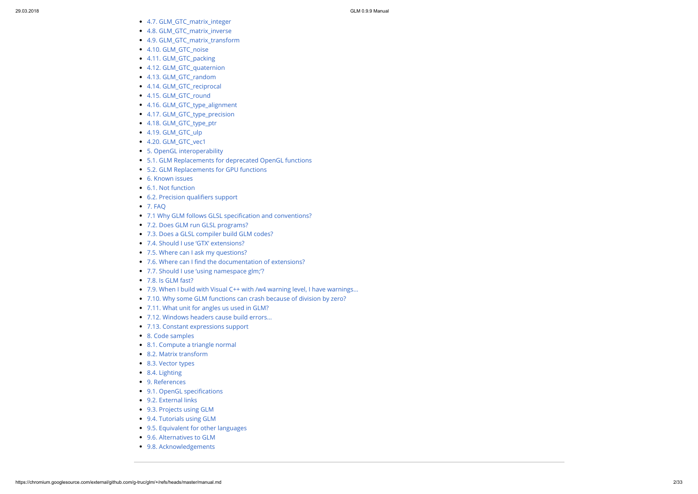- [4.7. GLM\\_GTC\\_matrix\\_integer](#page-11-2)
- [4.8. GLM\\_GTC\\_matrix\\_inverse](#page-11-3)
- [4.9. GLM\\_GTC\\_matrix\\_transform](#page-11-4)
- [4.10. GLM\\_GTC\\_noise](#page-11-5)
- [4.11. GLM\\_GTC\\_packing](#page-14-0)
- [4.12. GLM\\_GTC\\_quaternion](#page-15-0)
- [4.13. GLM\\_GTC\\_random](#page-15-1)
- [4.14. GLM\\_GTC\\_reciprocal](#page-18-0)
- [4.15. GLM\\_GTC\\_round](#page-18-1)
- [4.16. GLM\\_GTC\\_type\\_alignment](#page-18-2)
- [4.17. GLM\\_GTC\\_type\\_precision](#page-18-3)
- [4.18. GLM\\_GTC\\_type\\_ptr](#page-20-0)
- [4.19. GLM\\_GTC\\_ulp](#page-20-1)
- [4.20. GLM\\_GTC\\_vec1](#page-20-2)
- [5. OpenGL interoperability](#page-20-3)
- [5.1. GLM Replacements for deprecated OpenGL functions](#page-21-0)
- [5.2. GLM Replacements for GPU functions](#page-22-0)
- [6. Known issues](#page-23-0)
- [6.1. Not function](#page-23-1)
- 6.2. Precision qualifiers support
- [7. FAQ](#page-24-0)
- 7.1 Why GLM follows GLSL specification and conventions?
- [7.2. Does GLM run GLSL programs?](#page-24-2)
- [7.3. Does a GLSL compiler build GLM codes?](#page-24-3)
- [7.4. Should I use 'GTX' extensions?](#page-24-4)
- [7.5. Where can I ask my questions?](#page-24-5)
- 7.6. Where can I find the documentation of extensions?
- [7.7. Should I use 'using namespace glm;'?](#page-24-7)
- [7.8. Is GLM fast?](#page-24-8)
- [7.9. When I build with Visual C++ with /w4 warning level, I have warnings...](#page-25-0)
- [7.10. Why some GLM functions can crash because of division by zero?](#page-25-1)
- [7.11. What unit for angles us used in GLM?](#page-25-2)
- [7.12. Windows headers cause build errors...](#page-25-3)
- [7.13. Constant expressions support](#page-25-4)
- [8. Code samples](#page-25-5)
- [8.1. Compute a triangle normal](#page-25-6)
- [8.2. Matrix transform](#page-26-0)
- [8.3. Vector types](#page-26-1)
- [8.4. Lighting](#page-27-0)
- [9. References](#page-28-0)
- 9.1. OpenGL specifications
- [9.2. External links](#page-28-2)
- [9.3. Projects using GLM](#page-28-3)
- [9.4. Tutorials using GLM](#page-31-0)
- [9.5. Equivalent for other languages](#page-31-1)
- [9.6. Alternatives to GLM](#page-32-0)
- 9.8. Acknowledgements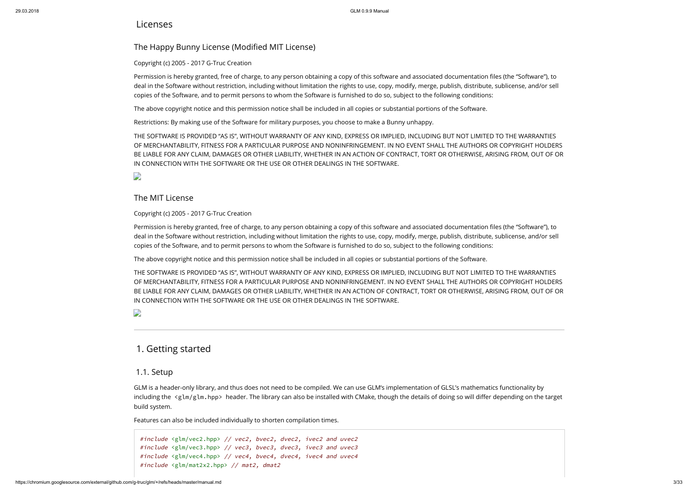### <span id="page-2-0"></span>Licenses

# The Happy Bunny License (Modified MIT License)

### Copyright (c) 2005 - 2017 G-Truc Creation

Permission is hereby granted, free of charge, to any person obtaining a copy of this software and associated documentation files (the "Software"), to deal in the Software without restriction, including without limitation the rights to use, copy, modify, merge, publish, distribute, sublicense, and/or sell copies of the Software, and to permit persons to whom the Software is furnished to do so, subject to the following conditions:

The above copyright notice and this permission notice shall be included in all copies or substantial portions of the Software.

Restrictions: By making use of the Software for military purposes, you choose to make a Bunny unhappy.

Permission is hereby granted, free of charge, to any person obtaining a copy of this software and associated documentation files (the "Software"), to deal in the Software without restriction, including without limitation the rights to use, copy, modify, merge, publish, distribute, sublicense, and/or sell copies of the Software, and to permit persons to whom the Software is furnished to do so, subject to the following conditions:

THE SOFTWARE IS PROVIDED "AS IS", WITHOUT WARRANTY OF ANY KIND, EXPRESS OR IMPLIED, INCLUDING BUT NOT LIMITED TO THE WARRANTIES OF MERCHANTABILITY, FITNESS FOR A PARTICULAR PURPOSE AND NONINFRINGEMENT. IN NO EVENT SHALL THE AUTHORS OR COPYRIGHT HOLDERS BE LIABLE FOR ANY CLAIM, DAMAGES OR OTHER LIABILITY, WHETHER IN AN ACTION OF CONTRACT, TORT OR OTHERWISE, ARISING FROM, OUT OF OR IN CONNECTION WITH THE SOFTWARE OR THE USE OR OTHER DEALINGS IN THE SOFTWARE.

 $\overline{a}$ 

### The MIT License

Copyright (c) 2005 - 2017 G-Truc Creation

#include <glm/vec2.hpp> // vec2, bvec2, dvec2, ivec2 and uvec2 #include <glm/vec3.hpp> // vec3, bvec3, dvec3, ivec3 and uvec3 #include <glm/vec4.hpp> // vec4, bvec4, dvec4, ivec4 and uvec4 #include <glm/mat2x2.hpp> // mat2, dmat2

The above copyright notice and this permission notice shall be included in all copies or substantial portions of the Software.

THE SOFTWARE IS PROVIDED "AS IS", WITHOUT WARRANTY OF ANY KIND, EXPRESS OR IMPLIED, INCLUDING BUT NOT LIMITED TO THE WARRANTIES OF MERCHANTABILITY, FITNESS FOR A PARTICULAR PURPOSE AND NONINFRINGEMENT. IN NO EVENT SHALL THE AUTHORS OR COPYRIGHT HOLDERS BE LIABLE FOR ANY CLAIM, DAMAGES OR OTHER LIABILITY, WHETHER IN AN ACTION OF CONTRACT, TORT OR OTHERWISE, ARISING FROM, OUT OF OR IN CONNECTION WITH THE SOFTWARE OR THE USE OR OTHER DEALINGS IN THE SOFTWARE.

D

# <span id="page-2-1"></span>1. Getting started

### <span id="page-2-2"></span>1.1. Setup

GLM is a header-only library, and thus does not need to be compiled. We can use GLM's implementation of GLSL's mathematics functionality by including the <glm/glm.hpp> header. The library can also be installed with CMake, though the details of doing so will differ depending on the target build system.

Features can also be included individually to shorten compilation times.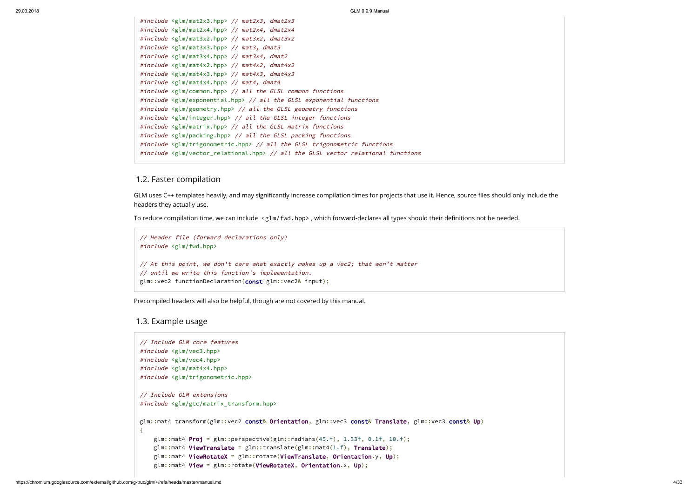```
#include <glm/mat2x3.hpp> // mat2x3, dmat2x3
#include <glm/mat2x4.hpp> // mat2x4, dmat2x4
#include <glm/mat3x2.hpp> // mat3x2, dmat3x2
#include <glm/mat3x3.hpp> // mat3, dmat3
#include <glm/mat3x4.hpp> // mat3x4, dmat2
#include <glm/mat4x2.hpp> // mat4x2, dmat4x2
#include <glm/mat4x3.hpp> // mat4x3, dmat4x3
#include <glm/mat4x4.hpp> // mat4, dmat4
#include <glm/common.hpp> // all the GLSL common functions
#include <glm/exponential.hpp> // all the GLSL exponential functions
#include <glm/geometry.hpp> // all the GLSL geometry functions
#include <glm/integer.hpp> // all the GLSL integer functions
#include <glm/matrix.hpp> // all the GLSL matrix functions
#include <glm/packing.hpp> // all the GLSL packing functions
#include <glm/trigonometric.hpp> // all the GLSL trigonometric functions
#include <glm/vector_relational.hpp> // all the GLSL vector relational functions
```
GLM uses C++ templates heavily, and may significantly increase compilation times for projects that use it. Hence, source files should only include the headers they actually use.

To reduce compilation time, we can include  $\langle g \text{Im}/fwd.hpp \rangle$ , which forward-declares all types should their definitions not be needed.

### <span id="page-3-0"></span>1.2. Faster compilation

```
// Header file (forward declarations only)
#include <glm/fwd.hpp>
// At this point, we don't care what exactly makes up a vec2; that won't matter
// until we write this function's implementation.
glm::vec2 functionDeclaration(const glm::vec2& input);
```
Precompiled headers will also be helpful, though are not covered by this manual.

### <span id="page-3-1"></span>1.3. Example usage

```
// Include GLM core features
#include <glm/vec3.hpp>
#include <glm/vec4.hpp>
#include <glm/mat4x4.hpp>
#include <glm/trigonometric.hpp>
// Include GLM extensions
#include <glm/gtc/matrix_transform.hpp>
glm::mat4 transform(glm::vec2 const& Orientation, glm::vec3 const& Translate, glm::vec3 const& Up)
{
   glm::mat4 Proj = glm::perspective(glm::radians(45.f), 1.33f, 0.1f, 10.f);
    glm::mat4 ViewTranslate = glm::translate(glm::mat4(1.f), Translate);glm::mat4 ViewRotateX = glm::rotate(ViewTranslate, Orientation.y, Up);
    glm::mat4 View = glm::rotate(ViewRotateX, Orientation.x, Up);
```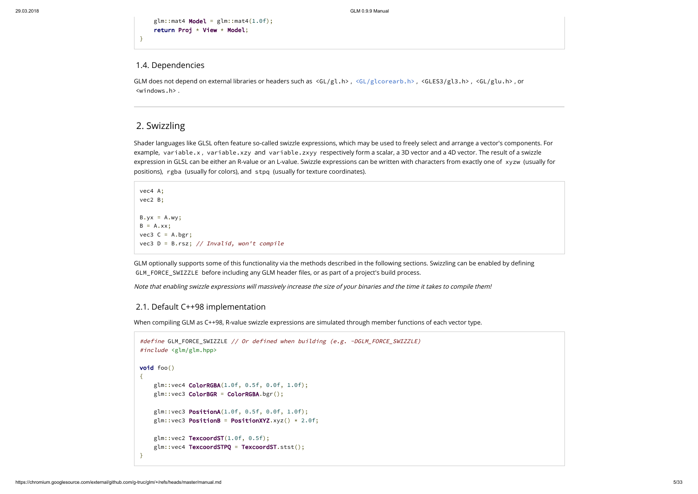$glm::mat4$  Model =  $glm::mat4(1.0f);$ return Proj  $\star$  View  $\star$  Model;

GLM does not depend on external libraries or headers such as <GL/gl.h>, [<GL/glcorearb.h>](http://www.opengl.org/registry/api/GL/glcorearb.h), <GLES3/gl3.h>, <GL/glu.h>, or <windows.h> .

}

### <span id="page-4-0"></span>1.4. Dependencies

# <span id="page-4-1"></span>2. Swizzling

```
vec4 A;
vec2 B;
B.yx = A.wy;B = A.xx;vec3 C = A.bgr;
vec3 D = B.rsz; // Invalid, won't compile
```
GLM optionally supports some of this functionality via the methods described in the following sections. Swizzling can be enabled by defining GLM\_FORCE\_SWIZZLE before including any GLM header files, or as part of a project's build process.

Shader languages like GLSL often feature so-called swizzle expressions, which may be used to freely select and arrange a vector's components. For example, variable.x, variable.xzy and variable.zxyy respectively form a scalar, a 3D vector and a 4D vector. The result of a swizzle expression in GLSL can be either an R-value or an L-value. Swizzle expressions can be written with characters from exactly one of xyzw (usually for positions), rgba (usually for colors), and stpq (usually for texture coordinates).

```
#define GLM_FORCE_SWIZZLE // Or defined when building (e.g. -DGLM_FORCE_SWIZZLE)
#include <glm/glm.hpp>
void foo()
{
    glm::vec4 ColorRGBA(1.0f, 0.5f, 0.0f, 1.0f);
    glm::vec3 ColorBGR = ColorRGBA.bgr();
    glm::vec3 PositionA(1.0f, 0.5f, 0.0f, 1.0f);
    glm::vec3 PositionB = PositionXYZ.xyz() * 2.0f;
    glm::vec2 TexcoordST(1.0f, 0.5f);
    glm::vec4 TexcoordSTPQ = TexcoordST.stst();
}
```
Note that enabling swizzle expressions will massively increase the size of your binaries and the time it takes to compile them!

### <span id="page-4-2"></span>2.1. Default C++98 implementation

When compiling GLM as C++98, R-value swizzle expressions are simulated through member functions of each vector type.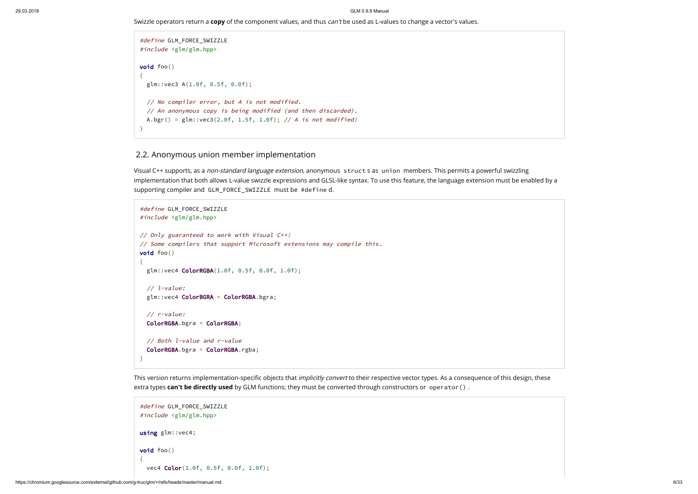Swizzle operators return a copy of the component values, and thus can't be used as L-values to change a vector's values.

```
#define GLM_FORCE_SWIZZLE
#include <glm/glm.hpp>
void foo()
{
  glm::vec3 A(1.0f, 0.5f, 0.0f);
 // No compiler error, but A is not modified.
  // An anonymous copy is being modified (and then discarded).
 A.bgr() = glm::vec3(2.0f, 1.5f, 1.0f); // A is not modified!
}
```
### <span id="page-5-0"></span>2.2. Anonymous union member implementation

Visual C++ supports, as a non-standard language extension, anonymous struct s as union members. This permits a powerful swizzling implementation that both allows L-value swizzle expressions and GLSL-like syntax. To use this feature, the language extension must be enabled by a supporting compiler and GLM\_FORCE\_SWIZZLE must be #define d.

```
#define GLM_FORCE_SWIZZLE
#include <glm/glm.hpp>
// Only guaranteed to work with Visual C++!
// Some compilers that support Microsoft extensions may compile this.
void foo()
{
  glm::vec4 ColorRGBA(1.0f, 0.5f, 0.0f, 1.0f);
  // l-value:
  glm::vec4 ColorBGRA = ColorRGBA.bgra;
  // r-value:
  ColorRGBA.bgra = ColorRGBA;
  // Both l-value and r-value
  ColorRGBA.bgra = ColorRGBA.rgba;
}
```
This version returns implementation-specific objects that *implicitly convert* to their respective vector types. As a consequence of this design, these extra types can't be directly used by GLM functions; they must be converted through constructors or operator().

```
#define GLM_FORCE_SWIZZLE
#include <glm/glm.hpp>
using glm::vec4;
void foo()
{
  vec4 Color(1.0f, 0.5f, 0.0f, 1.0f);
```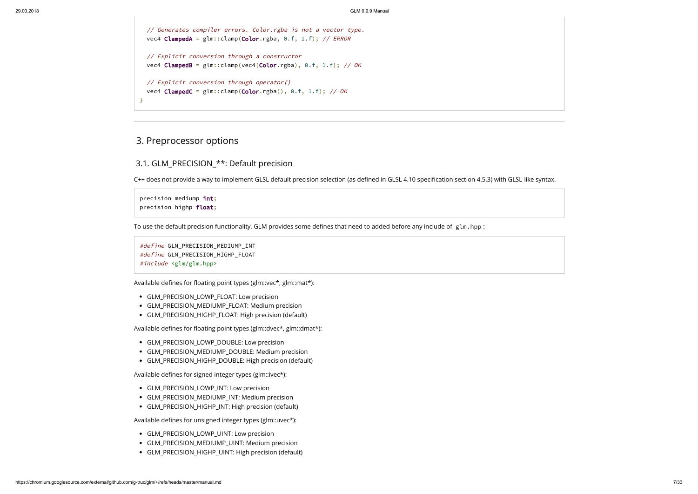```
// Generates compiler errors. Color.rgba is not a vector type.
  vec4 ClampedA = glm::clamp(Color.rgba, 0.f, 1.f); // ERROR
  // Explicit conversion through a constructor
  vec4 ClampedB = glm::clamp(vec4(Color.rgba), 0.f, 1.f); // OK
 // Explicit conversion through operator()
  vec4 ClampedC = glm::clamp(Color.rgba(), 0.f, 1.f); // OK}
```
# <span id="page-6-0"></span>3. Preprocessor options

## <span id="page-6-1"></span>3.1. GLM\_PRECISION\_\*\*: Default precision

C++ does not provide a way to implement GLSL default precision selection (as defined in GLSL 4.10 specification section 4.5.3) with GLSL-like syntax.

precision mediump int; precision highp float;

To use the default precision functionality, GLM provides some defines that need to added before any include of glm.hpp :

- GLM\_PRECISION\_LOWP\_INT: Low precision
- GLM\_PRECISION\_MEDIUMP\_INT: Medium precision
- GLM\_PRECISION\_HIGHP\_INT: High precision (default)

Available defines for unsigned integer types (glm::uvec\*):

- GLM\_PRECISION\_LOWP\_UINT: Low precision
- GLM\_PRECISION\_MEDIUMP\_UINT: Medium precision
- GLM\_PRECISION\_HIGHP\_UINT: High precision (default)

```
#define GLM_PRECISION_MEDIUMP_INT
#define GLM_PRECISION_HIGHP_FLOAT
#include <glm/glm.hpp>
```
Available defines for floating point types (glm::vec\*, glm::mat\*):

- GLM\_PRECISION\_LOWP\_FLOAT: Low precision
- GLM\_PRECISION\_MEDIUMP\_FLOAT: Medium precision
- GLM\_PRECISION\_HIGHP\_FLOAT: High precision (default)

Available defines for floating point types (glm::dvec\*, glm::dmat\*):

- GLM\_PRECISION\_LOWP\_DOUBLE: Low precision
- GLM\_PRECISION\_MEDIUMP\_DOUBLE: Medium precision
- GLM\_PRECISION\_HIGHP\_DOUBLE: High precision (default)

Available defines for signed integer types (glm::ivec\*):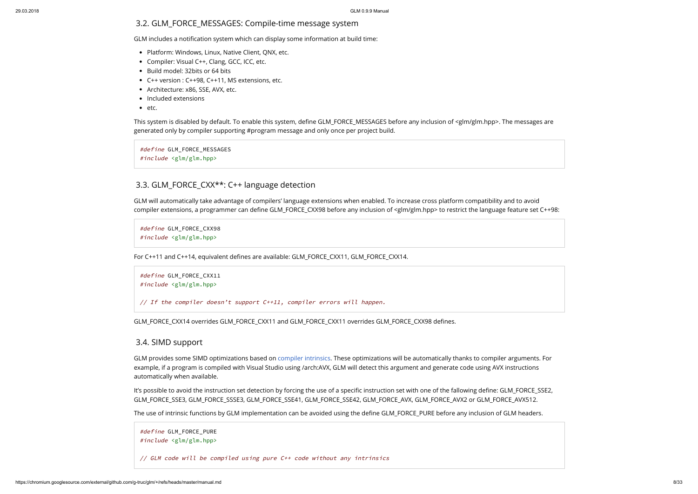### <span id="page-7-0"></span>3.2. GLM\_FORCE\_MESSAGES: Compile-time message system

GLM includes a notification system which can display some information at build time:

- Platform: Windows, Linux, Native Client, QNX, etc.
- Compiler: Visual C++, Clang, GCC, ICC, etc.
- Build model: 32bits or 64 bits
- C++ version : C++98, C++11, MS extensions, etc.
- Architecture: x86, SSE, AVX, etc.
- Included extensions
- $e$  etc.

This system is disabled by default. To enable this system, define GLM\_FORCE\_MESSAGES before any inclusion of <glm/glm.hpp>. The messages are generated only by compiler supporting #program message and only once per project build.

GLM will automatically take advantage of compilers' language extensions when enabled. To increase cross platform compatibility and to avoid compiler extensions, a programmer can define GLM\_FORCE\_CXX98 before any inclusion of  $\leq$ dm/glm.hpp> to restrict the language feature set C++98:

#define GLM\_FORCE\_MESSAGES #include <glm/glm.hpp>

## <span id="page-7-1"></span>3.3. GLM\_FORCE\_CXX<sup>\*\*</sup>: C++ language detection

It's possible to avoid the instruction set detection by forcing the use of a specific instruction set with one of the fallowing define: GLM\_FORCE\_SSE2, GLM\_FORCE\_SSE3, GLM\_FORCE\_SSSE3, GLM\_FORCE\_SSE41, GLM\_FORCE\_SSE42, GLM\_FORCE\_AVX, GLM\_FORCE\_AVX2 or GLM\_FORCE\_AVX512.

The use of intrinsic functions by GLM implementation can be avoided using the define GLM\_FORCE\_PURE before any inclusion of GLM headers.

#define GLM\_FORCE\_CXX98 #include <glm/glm.hpp>

For C++11 and C++14, equivalent defines are available: GLM\_FORCE\_CXX11, GLM\_FORCE\_CXX14.

```
#define GLM_FORCE_CXX11
#include <glm/glm.hpp>
```
// If the compiler doesn't support C++11, compiler errors will happen.

GLM\_FORCE\_CXX14 overrides GLM\_FORCE\_CXX11 and GLM\_FORCE\_CXX11 overrides GLM\_FORCE\_CXX98 defines.

### <span id="page-7-2"></span>3.4. SIMD support

GLM provides some SIMD optimizations based on [compiler intrinsics.](https://msdn.microsoft.com/en-us/library/26td21ds.aspx) These optimizations will be automatically thanks to compiler arguments. For example, if a program is compiled with Visual Studio using /arch:AVX, GLM will detect this argument and generate code using AVX instructions automatically when available.

```
#define GLM_FORCE_PURE
#include <glm/glm.hpp>
```
// GLM code will be compiled using pure C++ code without any intrinsics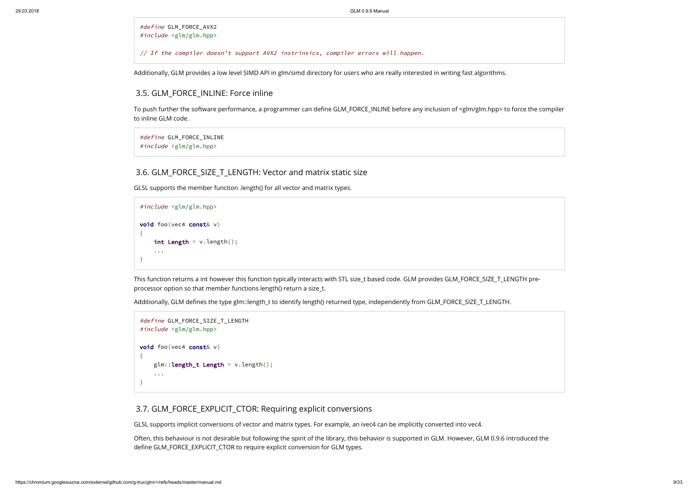#define GLM\_FORCE\_AVX2 #include <glm/glm.hpp>

// If the compiler doesn't support AVX2 instrinsics, compiler errors will happen.

To push further the software performance, a programmer can define GLM\_FORCE\_INLINE before any inclusion of <glm/glm.hpp> to force the compiler to inline GLM code.

Additionally, GLM provides a low level SIMD API in glm/simd directory for users who are really interested in writing fast algorithms.

### <span id="page-8-0"></span>3.5. GLM\_FORCE\_INLINE: Force inline

```
#define GLM_FORCE_INLINE
#include <glm/glm.hpp>
```
### <span id="page-8-1"></span>3.6. GLM\_FORCE\_SIZE\_T\_LENGTH: Vector and matrix static size

GLSL supports the member function .length() for all vector and matrix types.

Often, this behaviour is not desirable but following the spirit of the library, this behavior is supported in GLM. However, GLM 0.9.6 introduced the define GLM\_FORCE\_EXPLICIT\_CTOR to require explicit conversion for GLM types.

```
#include <glm/glm.hpp>
void foo(vec4 const& v)
{
    int Length = v.length();
    ...
}
```
This function returns a int however this function typically interacts with STL size\_t based code. GLM provides GLM\_FORCE\_SIZE\_T\_LENGTH preprocessor option so that member functions length() return a size\_t.

Additionally, GLM defines the type glm::length\_t to identify length() returned type, independently from GLM\_FORCE\_SIZE\_T\_LENGTH.

```
#define GLM_FORCE_SIZE_T_LENGTH
#include <glm/glm.hpp>
void foo(vec4 const& v)
{
    glm::length_t Length = v.length();
    ...
}
```
### <span id="page-8-2"></span>3.7. GLM\_FORCE\_EXPLICIT\_CTOR: Requiring explicit conversions

GLSL supports implicit conversions of vector and matrix types. For example, an ivec4 can be implicitly converted into vec4.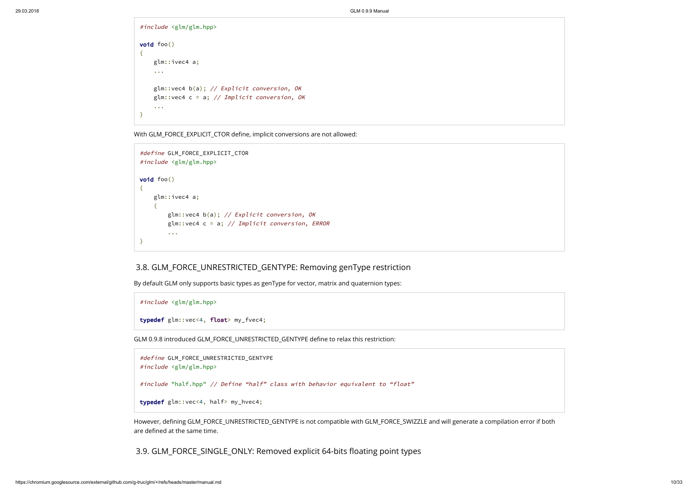```
#include <glm/glm.hpp>
void foo()
{
    glm::ivec4 a;
    ...
    glm::vec4 b(a); // Explicit conversion, OK
    glm::vec4 c = a; // Implicit conversion, OK
    ...
}
```
With GLM\_FORCE\_EXPLICIT\_CTOR define, implicit conversions are not allowed:

```
#define GLM_FORCE_EXPLICIT_CTOR
#include <glm/glm.hpp>
void foo()
{
    glm::ivec4 a;
    {
        glm::vec4 b(a); // Explicit conversion, OK
        glm::vec4 c = a; // Implicit conversion, ERROR...
}
```
### <span id="page-9-0"></span>3.8. GLM\_FORCE\_UNRESTRICTED\_GENTYPE: Removing genType restriction

By default GLM only supports basic types as genType for vector, matrix and quaternion types:

```
#include <glm/glm.hpp>
typedef glm::vec<4, float> my_fvec4;
```
GLM 0.9.8 introduced GLM\_FORCE\_UNRESTRICTED\_GENTYPE define to relax this restriction:

```
#define GLM_FORCE_UNRESTRICTED_GENTYPE
#include <glm/glm.hpp>
#include "half.hpp" // Define "half" class with behavior equivalent to "float"
typedef glm::vec<4, half> my_hvec4;
```
However, defining GLM\_FORCE\_UNRESTRICTED\_GENTYPE is not compatible with GLM\_FORCE\_SWIZZLE and will generate a compilation error if both are defined at the same time.

<span id="page-9-1"></span>3.9. GLM\_FORCE\_SINGLE\_ONLY: Removed explicit 64-bits floating point types

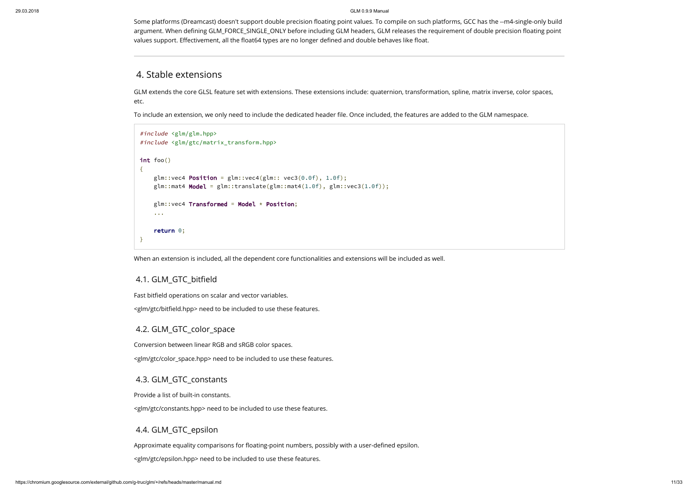Some platforms (Dreamcast) doesn't support double precision floating point values. To compile on such platforms, GCC has the --m4-single-only build argument. When defining GLM\_FORCE\_SINGLE\_ONLY before including GLM headers, GLM releases the requirement of double precision floating point values support. Effectivement, all the float64 types are no longer defined and double behaves like float.

# <span id="page-10-0"></span>4. Stable extensions

GLM extends the core GLSL feature set with extensions. These extensions include: quaternion, transformation, spline, matrix inverse, color spaces, etc.

To include an extension, we only need to include the dedicated header file. Once included, the features are added to the GLM namespace.

```
#include <glm/glm.hpp>
#include <glm/gtc/matrix_transform.hpp>
int foo()
{
    glm::vec4 Position = glm::vec4(glm::vec3(0.0f), 1.0f);glm::mat4 Model = glm::translate(glm::mat4(1.0f), glm::vec3(1.0f));glm::vec4 Transformed = Model * Position;
    ...
    return 0;
}
```
When an extension is included, all the dependent core functionalities and extensions will be included as well.

### <span id="page-10-1"></span>4.1. GLM\_GTC\_bitfield

Fast bitfield operations on scalar and vector variables.

<glm/gtc/biteld.hpp> need to be included to use these features.

### <span id="page-10-2"></span>4.2. GLM\_GTC\_color\_space

Conversion between linear RGB and sRGB color spaces.

<glm/gtc/color\_space.hpp> need to be included to use these features.

### <span id="page-10-3"></span>4.3. GLM\_GTC\_constants

Provide a list of built-in constants.

<glm/gtc/constants.hpp> need to be included to use these features.

### <span id="page-10-4"></span>4.4. GLM\_GTC\_epsilon

Approximate equality comparisons for floating-point numbers, possibly with a user-defined epsilon.

<glm/gtc/epsilon.hpp> need to be included to use these features.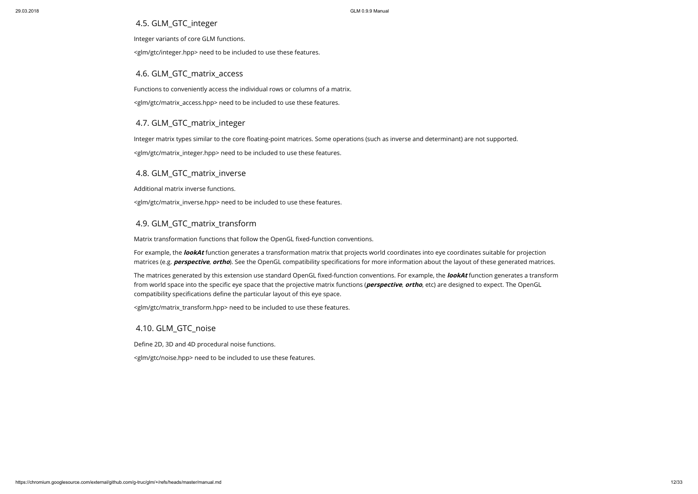### <span id="page-11-0"></span>4.5. GLM\_GTC\_integer

Integer variants of core GLM functions.

<glm/gtc/integer.hpp> need to be included to use these features.

### <span id="page-11-1"></span>4.6. GLM\_GTC\_matrix\_access

Functions to conveniently access the individual rows or columns of a matrix.

Integer matrix types similar to the core floating-point matrices. Some operations (such as inverse and determinant) are not supported. <glm/gtc/matrix\_integer.hpp> need to be included to use these features.

<glm/gtc/matrix\_access.hpp> need to be included to use these features.

### <span id="page-11-2"></span>4.7. GLM\_GTC\_matrix\_integer

### <span id="page-11-3"></span>4.8. GLM\_GTC\_matrix\_inverse

Additional matrix inverse functions.

<glm/gtc/matrix\_inverse.hpp> need to be included to use these features.

### <span id="page-11-4"></span>4.9. GLM\_GTC\_matrix\_transform

Matrix transformation functions that follow the OpenGL fixed-function conventions.

For example, the **lookAt** function generates a transformation matrix that projects world coordinates into eye coordinates suitable for projection matrices (e.g. **perspective, ortho**). See the OpenGL compatibility specifications for more information about the layout of these generated matrices.

The matrices generated by this extension use standard OpenGL fixed-function conventions. For example, the **lookAt** function generates a transform from world space into the specific eye space that the projective matrix functions (*perspective*, *ortho*, etc) are designed to expect. The OpenGL compatibility specifications define the particular layout of this eye space.

<glm/gtc/matrix\_transform.hpp> need to be included to use these features.

# <span id="page-11-5"></span>4.10. GLM\_GTC\_noise

Define 2D, 3D and 4D procedural noise functions.

<glm/gtc/noise.hpp> need to be included to use these features.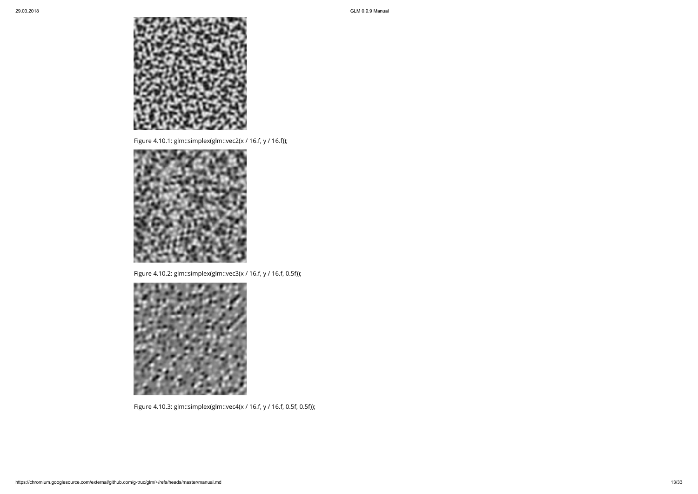

Figure 4.10.1: glm::simplex(glm::vec2(x / 16.f, y / 16.f));



Figure 4.10.2: glm::simplex(glm::vec3(x / 16.f, y / 16.f, 0.5f));



Figure 4.10.3: glm::simplex(glm::vec4(x / 16.f, y / 16.f, 0.5f, 0.5f));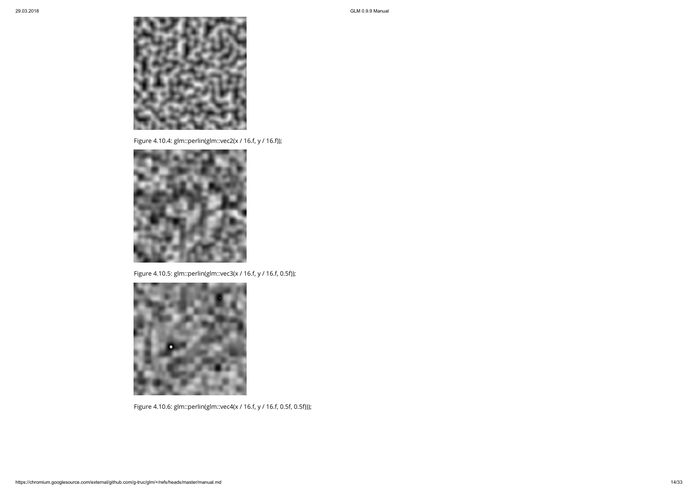

Figure 4.10.4: glm::perlin(glm::vec2(x / 16.f, y / 16.f));



Figure 4.10.5: glm::perlin(glm::vec3(x / 16.f, y / 16.f, 0.5f));



Figure 4.10.6: glm::perlin(glm::vec4(x / 16.f, y / 16.f, 0.5f, 0.5f)));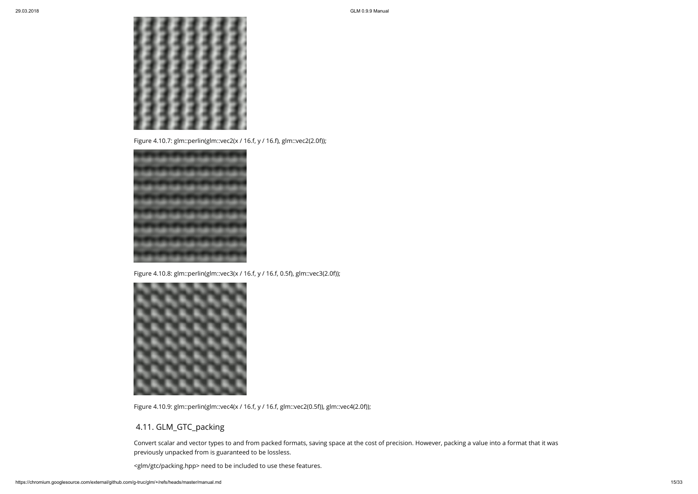

Figure 4.10.7: glm::perlin(glm::vec2(x / 16.f, y / 16.f), glm::vec2(2.0f));



Figure 4.10.8: glm::perlin(glm::vec3(x / 16.f, y / 16.f, 0.5f), glm::vec3(2.0f));



Figure 4.10.9: glm::perlin(glm::vec4(x / 16.f, y / 16.f, glm::vec2(0.5f)), glm::vec4(2.0f));

# <span id="page-14-0"></span>4.11. GLM\_GTC\_packing

Convert scalar and vector types to and from packed formats, saving space at the cost of precision. However, packing a value into a format that it was previously unpacked from is guaranteed to be lossless.

<glm/gtc/packing.hpp> need to be included to use these features.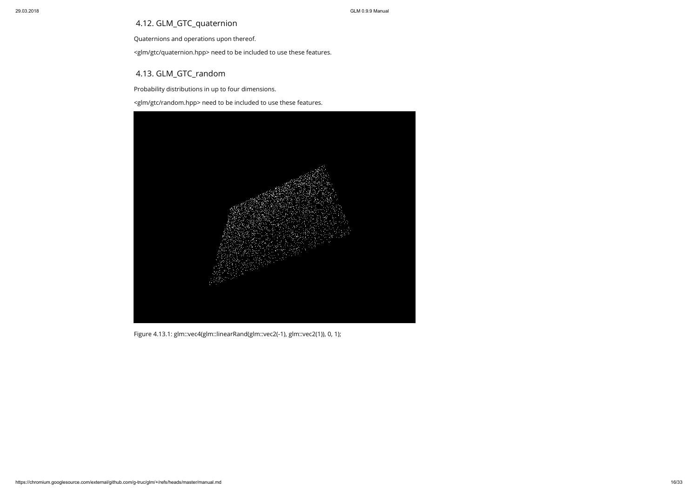# <span id="page-15-0"></span>4.12. GLM\_GTC\_quaternion

Quaternions and operations upon thereof.

<glm/gtc/quaternion.hpp> need to be included to use these features.

# <span id="page-15-1"></span>4.13. GLM\_GTC\_random

Probability distributions in up to four dimensions.

<glm/gtc/random.hpp> need to be included to use these features.



Figure 4.13.1: glm::vec4(glm::linearRand(glm::vec2(-1), glm::vec2(1)), 0, 1);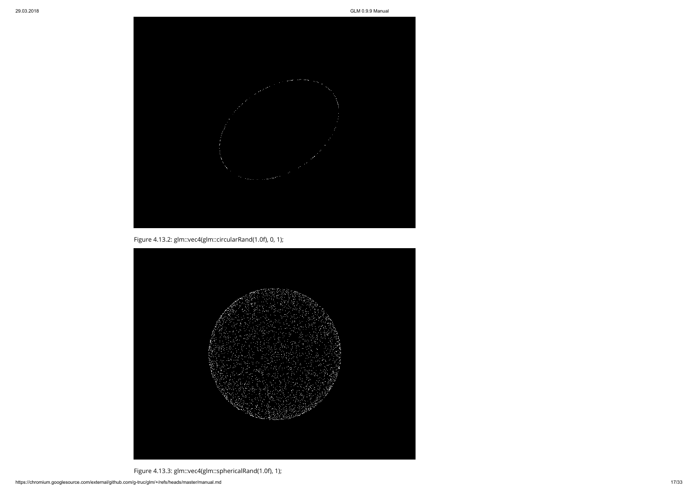

Figure 4.13.2: glm::vec4(glm::circularRand(1.0f), 0, 1);



Figure 4.13.3: glm::vec4(glm::sphericalRand(1.0f), 1);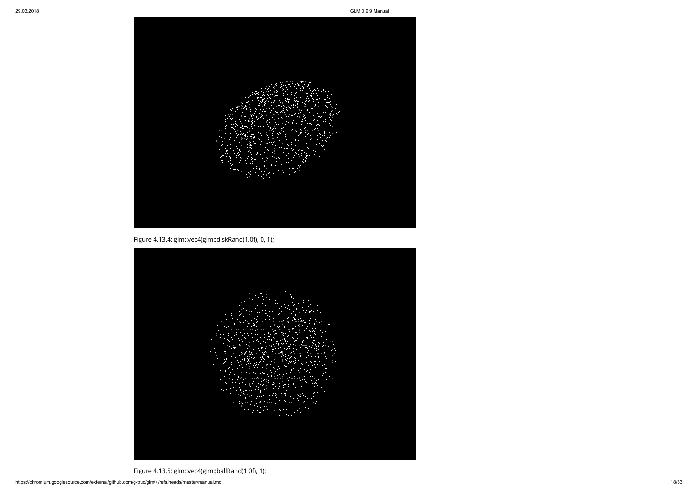

Figure 4.13.4: glm::vec4(glm::diskRand(1.0f), 0, 1);



Figure 4.13.5: glm::vec4(glm::ballRand(1.0f), 1);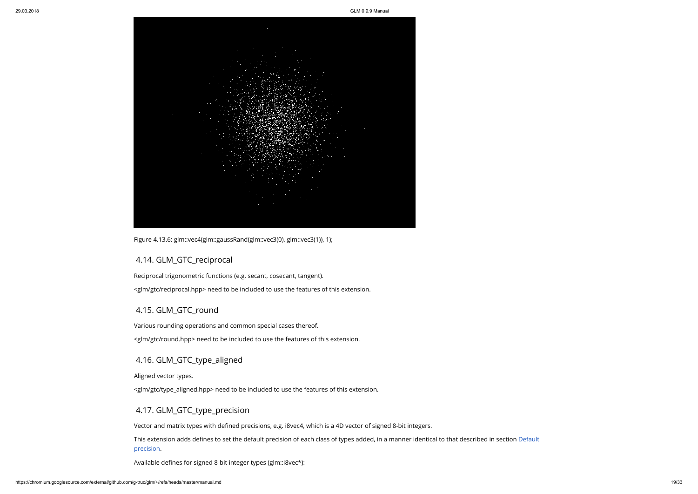

Figure 4.13.6: glm::vec4(glm::gaussRand(glm::vec3(0), glm::vec3(1)), 1);

### <span id="page-18-0"></span>4.14. GLM\_GTC\_reciprocal

Reciprocal trigonometric functions (e.g. secant, cosecant, tangent). <glm/gtc/reciprocal.hpp> need to be included to use the features of this extension.

### <span id="page-18-1"></span>4.15. GLM\_GTC\_round

Various rounding operations and common special cases thereof.

This extension adds defines to set the default precision of each class of types added, in a manner identical to that described in section Default precision.

Available defines for signed 8-bit integer types (glm::i8vec\*):

<glm/gtc/round.hpp> need to be included to use the features of this extension.

# <span id="page-18-2"></span>4.16. GLM\_GTC\_type\_aligned

Aligned vector types.

<glm/gtc/type\_aligned.hpp> need to be included to use the features of this extension.

### <span id="page-18-3"></span>4.17. GLM\_GTC\_type\_precision

Vector and matrix types with defined precisions, e.g. i8vec4, which is a 4D vector of signed 8-bit integers.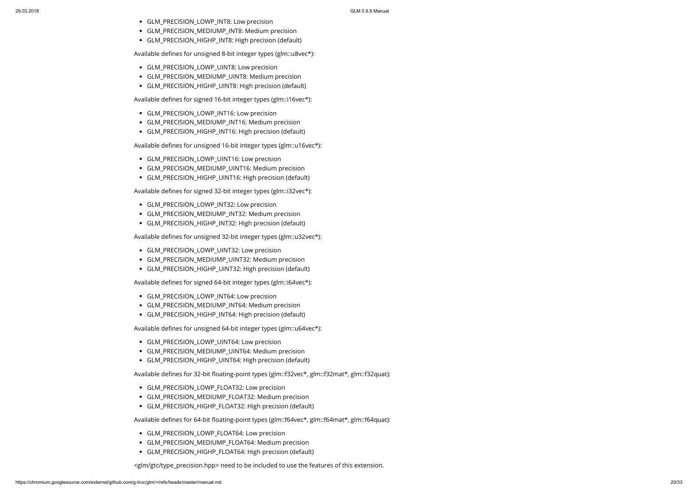- GLM\_PRECISION\_LOWP\_INT8: Low precision
- GLM\_PRECISION\_MEDIUMP\_INT8: Medium precision
- GLM\_PRECISION\_HIGHP\_INT8: High precision (default)

Available defines for unsigned 8-bit integer types (glm::u8vec\*):

- GLM\_PRECISION\_LOWP\_UINT8: Low precision
- GLM\_PRECISION\_MEDIUMP\_UINT8: Medium precision
- GLM\_PRECISION\_HIGHP\_UINT8: High precision (default)

Available defines for signed 16-bit integer types (glm::i16vec\*):

- GLM\_PRECISION\_LOWP\_INT16: Low precision
- GLM\_PRECISION\_MEDIUMP\_INT16: Medium precision
- GLM\_PRECISION\_HIGHP\_INT16: High precision (default)

Available defines for unsigned 16-bit integer types (glm::u16vec\*):

- GLM\_PRECISION\_LOWP\_UINT16: Low precision
- GLM\_PRECISION\_MEDIUMP\_UINT16: Medium precision
- GLM\_PRECISION\_HIGHP\_UINT16: High precision (default)

Available defines for signed 32-bit integer types (glm::i32vec\*):

- GLM\_PRECISION\_LOWP\_INT32: Low precision
- GLM\_PRECISION\_MEDIUMP\_INT32: Medium precision
- GLM\_PRECISION\_HIGHP\_INT32: High precision (default)

Available defines for unsigned 32-bit integer types (glm::u32vec\*):

- GLM\_PRECISION\_LOWP\_INT64: Low precision
- GLM\_PRECISION\_MEDIUMP\_INT64: Medium precision
- GLM\_PRECISION\_HIGHP\_INT64: High precision (default)

Available defines for unsigned 64-bit integer types (glm::u64vec\*):

- GLM\_PRECISION\_LOWP\_FLOAT64: Low precision
- GLM\_PRECISION\_MEDIUMP\_FLOAT64: Medium precision
- GLM\_PRECISION\_HIGHP\_FLOAT64: High precision (default)
- GLM\_PRECISION\_LOWP\_UINT32: Low precision
- GLM\_PRECISION\_MEDIUMP\_UINT32: Medium precision
- GLM\_PRECISION\_HIGHP\_UINT32: High precision (default)

Available defines for signed 64-bit integer types (glm::i64vec\*):

- GLM\_PRECISION\_LOWP\_UINT64: Low precision
- GLM\_PRECISION\_MEDIUMP\_UINT64: Medium precision
- GLM\_PRECISION\_HIGHP\_UINT64: High precision (default)

Available defines for 32-bit floating-point types (glm::f32vec\*, glm::f32mat\*, glm::f32quat):

- GLM\_PRECISION\_LOWP\_FLOAT32: Low precision
- GLM\_PRECISION\_MEDIUMP\_FLOAT32: Medium precision
- GLM\_PRECISION\_HIGHP\_FLOAT32: High precision (default)

Available defines for 64-bit floating-point types (glm::f64vec\*, glm::f64mat\*, glm::f64quat):

<glm/gtc/type\_precision.hpp> need to be included to use the features of this extension.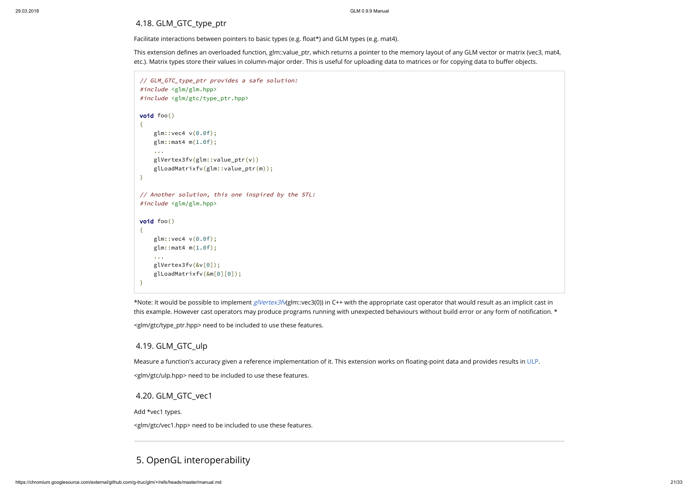# <span id="page-20-0"></span>4.18. GLM\_GTC\_type\_ptr

Facilitate interactions between pointers to basic types (e.g. float\*) and GLM types (e.g. mat4).

This extension defines an overloaded function, glm::value\_ptr, which returns a pointer to the memory layout of any GLM vector or matrix (vec3, mat4, etc.). Matrix types store their values in column-major order. This is useful for uploading data to matrices or for copying data to buffer objects.

```
// GLM_GTC_type_ptr provides a safe solution:
#include <glm/glm.hpp>
#include <glm/gtc/type_ptr.hpp>
void foo()
{
    glm::vec4 v(0.0f);
    glm::mat4 m(1.0f);
    ...
    glVertex3fv(glm::value_ptr(v))
    glLoadMatrixfv(glm::value_ptr(m));
}
// Another solution, this one inspired by the STL:
#include <glm/glm.hpp>
void foo()
{
    glm::vec4 v(0.0f);
    glm::mat4 m(1.0f);...
    glVertex3fv(&v[0]);
    glLoadMatrixfv(&m[0][0]);
}
```
\*Note: It would be possible to implement [glVertex3fv](http://www.opengl.org/sdk/docs/man2/xhtml/glVertex.xml)(glm::vec3(0)) in C++ with the appropriate cast operator that would result as an implicit cast in this example. However cast operators may produce programs running with unexpected behaviours without build error or any form of notification. \*

Measure a function's accuracy given a reference implementation of it. This extension works on floating-point data and provides results in [ULP](http://ljk.imag.fr/membres/Carine.Lucas/TPScilab/JMMuller/ulp-toms.pdf). <glm/gtc/ulp.hpp> need to be included to use these features.

<glm/gtc/type\_ptr.hpp> need to be included to use these features.

### <span id="page-20-1"></span>4.19. GLM\_GTC\_ulp

### <span id="page-20-2"></span>4.20. GLM\_GTC\_vec1

Add \*vec1 types.

<glm/gtc/vec1.hpp> need to be included to use these features.

# <span id="page-20-3"></span>5. OpenGL interoperability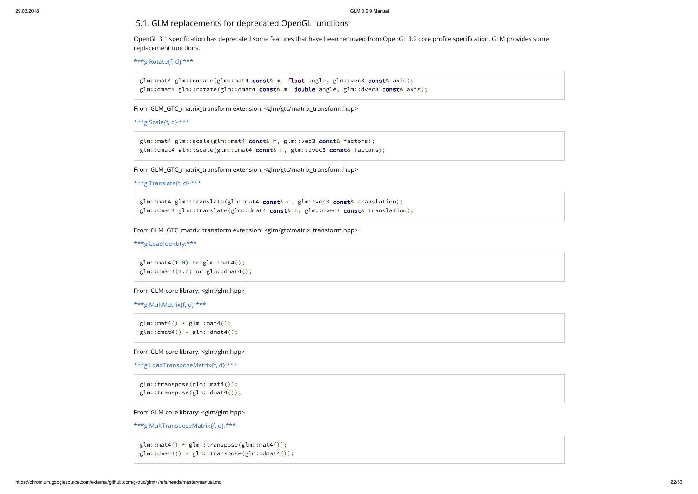### <span id="page-21-0"></span>5.1. GLM replacements for deprecated OpenGL functions

OpenGL 3.1 specification has deprecated some features that have been removed from OpenGL 3.2 core profile specification. GLM provides some replacement functions.

[\\*\\*\\*glRotate{f, d}:\\*\\*\\*](https://www.opengl.org/sdk/docs/man2/xhtml/glRotate.xml)

glm::mat4 glm::rotate(glm::mat4 const& m, float angle, glm::vec3 const& axis); glm::dmat4 glm::rotate(glm::dmat4 const& m, double angle, glm::dvec3 const& axis);

From GLM\_GTC\_matrix\_transform extension: <glm/gtc/matrix\_transform.hpp>

[\\*\\*\\*glScale{f, d}:\\*\\*\\*](http://www.opengl.org/sdk/docs/man2/xhtml/glScale.xml)

glm::mat4 glm::scale(glm::mat4 const& m, glm::vec3 const& factors); glm::dmat4 glm::scale(glm::dmat4 const& m, glm::dvec3 const& factors);

From GLM\_GTC\_matrix\_transform extension: <glm/gtc/matrix\_transform.hpp>

```
***glTranslate{f, d}:***
```
glm::mat4 glm::translate(glm::mat4 const& m, glm::vec3 const& translation); glm::dmat4 glm::translate(glm::dmat4 const& m, glm::dvec3 const& translation);

From GLM\_GTC\_matrix\_transform extension: <glm/gtc/matrix\_transform.hpp>

[\\*\\*\\*glLoadIdentity:\\*\\*\\*](https://www.opengl.org/sdk/docs/man2/xhtml/glLoadIdentity.xml)

```
glm::mat4(1.0) or glm::mat4();
glm::dmat4(1.0) or glm::dmat4();
```
From GLM core library: <glm/glm.hpp>

[\\*\\*\\*glMultMatrix{f, d}:\\*\\*\\*](https://www.opengl.org/sdk/docs/man2/xhtml/glMultMatrix.xml)

```
glm::mat4() * glm::mat4();
glm::dmat4() * glm::dmat4();
```
From GLM core library: <glm/glm.hpp>

```
***glLoadTransposeMatrix{f, d}:***
```

```
glm::transpose(glm::mat4());
glm::transpose(glm::dmat4());
```
From GLM core library: <glm/glm.hpp>

[\\*\\*\\*glMultTransposeMatrix{f, d}:\\*\\*\\*](https://www.opengl.org/sdk/docs/man2/xhtml/glMultTransposeMatrix.xml)

glm::mat4() \* glm::transpose(glm::mat4()); glm::dmat4() \* glm::transpose(glm::dmat4());

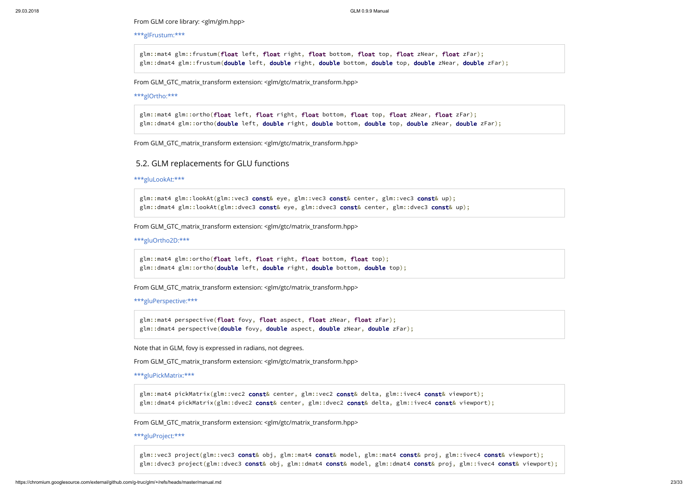glm::mat4 glm::frustum(float left, float right, float bottom, float top, float zNear, float zFar); glm::dmat4 glm::frustum(double left, double right, double bottom, double top, double zNear, double zFar);

From GLM core library: <glm/glm.hpp>

#### [\\*\\*\\*glFrustum:\\*\\*\\*](http://www.opengl.org/sdk/docs/man2/xhtml/glFrustum.xml)

glm::mat4 glm::ortho(float left, float right, float bottom, float top, float zNear, float zFar); glm::dmat4 glm::ortho(double left, double right, double bottom, double top, double zNear, double zFar);

glm::mat4 glm::lookAt(glm::vec3 const& eye, glm::vec3 const& center, glm::vec3 const& up); glm::dmat4 glm::lookAt(glm::dvec3 const& eye, glm::dvec3 const& center, glm::dvec3 const& up);

From GLM\_GTC\_matrix\_transform extension: <glm/gtc/matrix\_transform.hpp>

#### [\\*\\*\\*glOrtho:\\*\\*\\*](https://www.opengl.org/sdk/docs/man2/xhtml/glOrtho.xml)

glm::mat4 perspective(float fovy, float aspect, float zNear, float zFar); glm::dmat4 perspective(double fovy, double aspect, double zNear, double zFar);

From GLM\_GTC\_matrix\_transform extension: <glm/gtc/matrix\_transform.hpp>

### <span id="page-22-0"></span>5.2. GLM replacements for GLU functions

#### [\\*\\*\\*gluLookAt:\\*\\*\\*](https://www.opengl.org/sdk/docs/man2/xhtml/gluLookAt.xml)

glm::mat4 pickMatrix(glm::vec2 const& center, glm::vec2 const& delta, glm::ivec4 const& viewport); glm::dmat4 pickMatrix(glm::dvec2 const& center, glm::dvec2 const& delta, glm::ivec4 const& viewport);

From GLM\_GTC\_matrix\_transform extension: <glm/gtc/matrix\_transform.hpp>

#### [\\*\\*\\*gluOrtho2D:\\*\\*\\*](https://www.opengl.org/sdk/docs/man2/xhtml/gluOrtho2D.xml)

glm::mat4 glm::ortho(float left, float right, float bottom, float top); glm::dmat4 glm::ortho(double left, double right, double bottom, double top);

From GLM\_GTC\_matrix\_transform extension: <glm/gtc/matrix\_transform.hpp>

#### [\\*\\*\\*gluPerspective:\\*\\*\\*](https://www.opengl.org/sdk/docs/man2/xhtml/gluPerspective.xml)

Note that in GLM, fovy is expressed in radians, not degrees.

From GLM\_GTC\_matrix\_transform extension: <glm/gtc/matrix\_transform.hpp>

#### [\\*\\*\\*gluPickMatrix:\\*\\*\\*](https://www.opengl.org/sdk/docs/man2/xhtml/gluPickMatrix.xml)

From GLM\_GTC\_matrix\_transform extension: <glm/gtc/matrix\_transform.hpp>

### [\\*\\*\\*gluProject:\\*\\*\\*](http://www.opengl.org/sdk/docs/man2/xhtml/gluProject.xml)

glm::vec3 project(glm::vec3 const& obj, glm::mat4 const& model, glm::mat4 const& proj, glm::ivec4 const& viewport); glm::dvec3 project(glm::dvec3 const& obj, glm::dmat4 const& model, glm::dmat4 const& proj, glm::ivec4 const& viewport);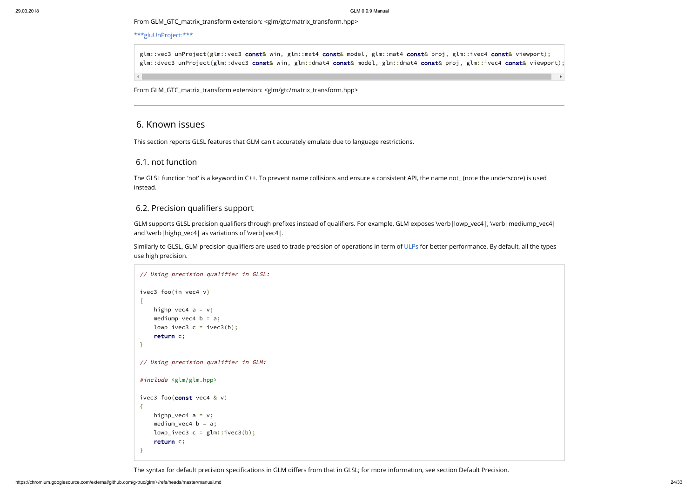| wport);<br>viewport); |  |
|-----------------------|--|
|                       |  |
|                       |  |

From GLM\_GTC\_matrix\_transform extension: <glm/gtc/matrix\_transform.hpp>

### [\\*\\*\\*gluUnProject:\\*\\*\\*](https://www.opengl.org/sdk/docs/man2/xhtml/gluUnProject.xml)

glm::vec3 unProject(glm::vec3 const& win, glm::mat4 const& model, glm::mat4 const& proj, glm::ivec4 const& view glm::dvec3 unProject(glm::dvec3 const& win, glm::dmat4 const& model, glm::dmat4 const& proj, glm::ivec4 const&

From GLM\_GTC\_matrix\_transform extension: <glm/gtc/matrix\_transform.hpp>

## <span id="page-23-0"></span>6. Known issues

This section reports GLSL features that GLM can't accurately emulate due to language restrictions.

GLM supports GLSL precision qualifiers through prefixes instead of qualifiers. For example, GLM exposes \verb|lowp\_vec4|, \verb|mediump\_vec4| and \verb|highp\_vec4| as variations of \verb|vec4|.

### <span id="page-23-1"></span>6.1. not function

Similarly to GLSL, GLM precision qualifiers are used to trade precision of operations in term of [ULPs](http://en.wikipedia.org/wiki/Unit_in_the_last_place) for better performance. By default, all the types use high precision.

The GLSL function 'not' is a keyword in C++. To prevent name collisions and ensure a consistent API, the name not\_ (note the underscore) is used instead.

### <span id="page-23-2"></span>6.2. Precision qualifiers support

```
// Using precision qualifier in GLSL:
ivec3 foo(in vec4 v)
{
   highp vec4 a = v;
   mediump vec4 b = a;
   lowp ivec3 c = ivec3(b);
    return c;
}
// Using precision qualifier in GLM:
#include <glm/glm.hpp>
ivec3 foo(const vec4 & v)
{
   highp_vec4 a = v;
    medium_vec4 b = a;
   lowp_ivec3 c = glm::ivec3(b);return c;
}
```
The syntax for default precision specifications in GLM differs from that in GLSL; for more information, see section Default Precision.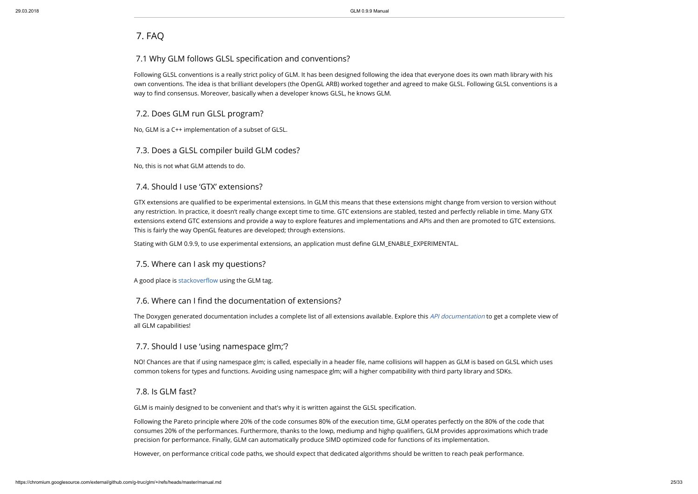Following GLSL conventions is a really strict policy of GLM. It has been designed following the idea that everyone does its own math library with his own conventions. The idea is that brilliant developers (the OpenGL ARB) worked together and agreed to make GLSL. Following GLSL conventions is a way to find consensus. Moreover, basically when a developer knows GLSL, he knows GLM.

# <span id="page-24-0"></span>7. FAQ

### <span id="page-24-1"></span>7.1 Why GLM follows GLSL specification and conventions?

### <span id="page-24-2"></span>7.2. Does GLM run GLSL program?

No, GLM is a C++ implementation of a subset of GLSL.

GTX extensions are qualified to be experimental extensions. In GLM this means that these extensions might change from version to version without any restriction. In practice, it doesn't really change except time to time. GTC extensions are stabled, tested and perfectly reliable in time. Many GTX extensions extend GTC extensions and provide a way to explore features and implementations and APIs and then are promoted to GTC extensions. This is fairly the way OpenGL features are developed; through extensions.

Stating with GLM 0.9.9, to use experimental extensions, an application must define GLM\_ENABLE\_EXPERIMENTAL.

### <span id="page-24-3"></span>7.3. Does a GLSL compiler build GLM codes?

No, this is not what GLM attends to do.

### <span id="page-24-4"></span>7.4. Should I use 'GTX' extensions?

The Doxygen generated documentation includes a complete list of all extensions available. Explore this [API documentation](http://glm.g-truc.net/html/index.html) to get a complete view of all GLM capabilities!

NO! Chances are that if using namespace glm; is called, especially in a header file, name collisions will happen as GLM is based on GLSL which uses common tokens for types and functions. Avoiding using namespace glm; will a higher compatibility with third party library and SDKs.

### <span id="page-24-5"></span>7.5. Where can I ask my questions?

A good place is stackoverflow using the GLM tag.

### <span id="page-24-6"></span>7.6. Where can I find the documentation of extensions?

### <span id="page-24-7"></span>7.7. Should I use 'using namespace glm;'?

### <span id="page-24-8"></span>7.8. Is GLM fast?

GLM is mainly designed to be convenient and that's why it is written against the GLSL specification.

Following the Pareto principle where 20% of the code consumes 80% of the execution time, GLM operates perfectly on the 80% of the code that consumes 20% of the performances. Furthermore, thanks to the lowp, mediump and highp qualifiers, GLM provides approximations which trade precision for performance. Finally, GLM can automatically produce SIMD optimized code for functions of its implementation.

However, on performance critical code paths, we should expect that dedicated algorithms should be written to reach peak performance.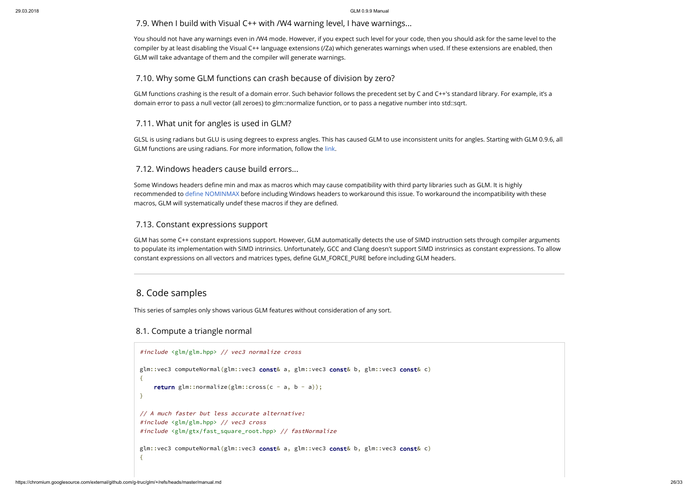### <span id="page-25-0"></span>7.9. When I build with Visual C++ with /W4 warning level, I have warnings...

You should not have any warnings even in /W4 mode. However, if you expect such level for your code, then you should ask for the same level to the compiler by at least disabling the Visual C++ language extensions (/Za) which generates warnings when used. If these extensions are enabled, then GLM will take advantage of them and the compiler will generate warnings.

### <span id="page-25-1"></span>7.10. Why some GLM functions can crash because of division by zero?

GLM functions crashing is the result of a domain error. Such behavior follows the precedent set by C and C++'s standard library. For example, it's a domain error to pass a null vector (all zeroes) to glm::normalize function, or to pass a negative number into std::sqrt.

GLM has some C++ constant expressions support. However, GLM automatically detects the use of SIMD instruction sets through compiler arguments to populate its implementation with SIMD intrinsics. Unfortunately, GCC and Clang doesn't support SIMD instrinsics as constant expressions. To allow constant expressions on all vectors and matrices types, define GLM\_FORCE\_PURE before including GLM headers.

## <span id="page-25-2"></span>7.11. What unit for angles is used in GLM?

GLSL is using radians but GLU is using degrees to express angles. This has caused GLM to use inconsistent units for angles. Starting with GLM 0.9.6, all GLM functions are using radians. For more information, follow the [link](http://www.g-truc.net/post-0693.html#menu).

## <span id="page-25-3"></span>7.12. Windows headers cause build errors...

Some Windows headers define min and max as macros which may cause compatibility with third party libraries such as GLM. It is highly recommended to define NOMINMAX before including Windows headers to workaround this issue. To workaround the incompatibility with these macros, GLM will systematically undef these macros if they are defined.

## <span id="page-25-4"></span>7.13. Constant expressions support

# <span id="page-25-5"></span>8. Code samples

This series of samples only shows various GLM features without consideration of any sort.

# <span id="page-25-6"></span>8.1. Compute a triangle normal

| #include <glm glm.hpp=""> // vec3 normalize cross</glm>                                                                                                                   |
|---------------------------------------------------------------------------------------------------------------------------------------------------------------------------|
| glm::vec3 computeNormal(glm::vec3 const& a, glm::vec3 const& b, glm::vec3 const& c)<br>$\{$                                                                               |
| return glm::normalize(glm::cross(c - a, b - a));<br>$\mathcal{F}$                                                                                                         |
| // A much faster but less accurate alternative:<br>#include <glm glm.hpp=""> // vec3 cross<br/>#include <glm fast_square_root.hpp="" gtx=""> // fastNormalize</glm></glm> |
| glm::vec3 computeNormal(glm::vec3 const& a, glm::vec3 const& b, glm::vec3 const& c)<br>$\{$                                                                               |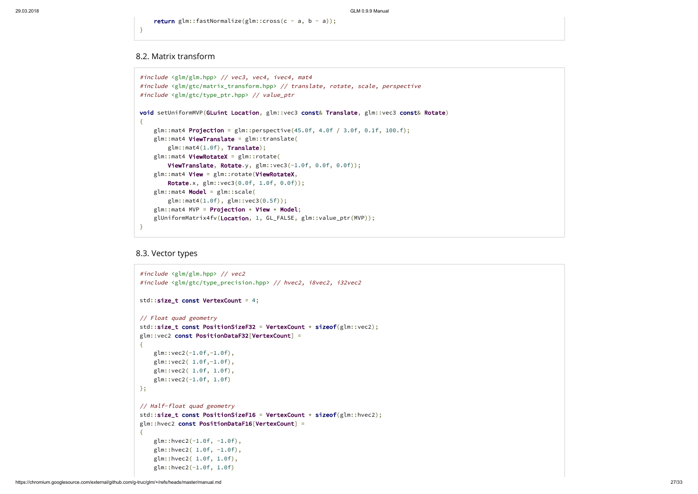return glm::fastNormalize(glm::cross(c - a, b - a));

}

### <span id="page-26-0"></span>8.2. Matrix transform

```
#include <glm/glm.hpp> // vec3, vec4, ivec4, mat4
#include <glm/gtc/matrix_transform.hpp> // translate, rotate, scale, perspective
#include <glm/gtc/type_ptr.hpp> // value_ptr
void setUniformMVP(GLuint Location, glm::vec3 const& Translate, glm::vec3 const& Rotate)
{
    glm::mat4 Projection = glm::perspective(45.0f, 4.0f / 3.0f, 0.1f, 100.f);
    glm::mat4 ViewTranslate = glm::translate(
        glm::mat4(1.0f), Translate);
    glm::mat4 ViewRotateX = glm::rotate(
        ViewTranslate, Rotate.y, glm::vec3(-1.0f, 0.0f, 0.0f));
    glm::mat4 View = glm::rotate(ViewRotateX,
        Rotate.x, glm::vec3(0.0f, 1.0f, 0.0f));
    glm::mat4 Model = glm::scale(
        glm::mat4(1.0f), glm::vec3(0.5f));
    glm::mat4 MVP = Projection \star View \star Model;
    glUniformMatrix4fv(Location, 1, GL_FALSE, glm::value_ptr(MVP));
}
```
### <span id="page-26-1"></span>8.3. Vector types

```
#include <glm/glm.hpp> // vec2
#include <glm/gtc/type_precision.hpp> // hvec2, i8vec2, i32vec2
std::size_t const VertexCount = 4;
// Float quad geometry
std::size_t const PositionSizeF32 = VertexCount \star sizeof(glm::vec2);
glm::vec2 const PositionDataF32[VertexCount] =
{
    glm::vec2(-1.0f,-1.0f),
    glm::vec2( 1.0f,-1.0f),
    glm::vec2( 1.0f, 1.0f),
    glm::vec2(-1.0f, 1.0f)
};
// Half-float quad geometry
std::size_t const PositionSizeF16 = VertexCount * sizeof(glm::hvec2);
glm::hvec2 const PositionDataF16[VertexCount] =
{
    glm::hvec2(-1.0f, -1.0f),
    glm::hvec2( 1.0f, -1.0f),
    glm::hvec2( 1.0f, 1.0f),
    glm::hvec2(-1.0f, 1.0f)
```
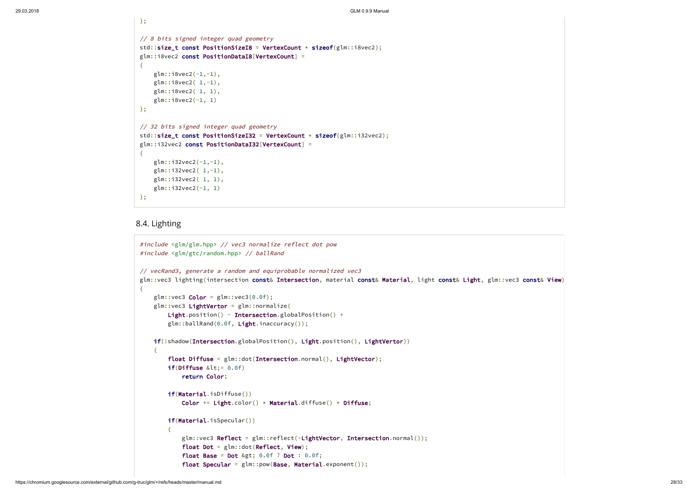};

```
#include <glm/glm.hpp> // vec3 normalize reflect dot pow
#include <glm/gtc/random.hpp> // ballRand
// vecRand3, generate a random and equiprobable normalized vec3
glm::vec3 lighting(intersection const& Intersection, material const& Material, light const& Light, glm::vec3 const& View)
{
    glm::vec3 Color = glm::vec3(0.0f);
    glm::vec3 LightVertor = glm::normalize(
       Light.position() - Intersection.globalPosition() +
        glm::ballRand(0.0f, Light.inaccuracy());
   if(!shadow(Intersection.globalPosition(), Light.position(), LightVertor))
    {
        float Diffuse = glm::dot(Intersection.normal(), LightVector);
        if(Diffuse < l;= 0.0f)return Color;
        if(Material.isDiffuse())
            Color += Light.color() \star Material.diffuse() \star Diffuse;
       if(Material.isSpecular())
        {
            glm::vec3 Reflect = glm::reflect(-LightVector, Intersection.normal());
            float Dot = glm::dot(Reflect, View);
            float Base = Dot > 0.0f ? Dot : 0.0f;
            float Specular = glm::pow(Base, Material.exponent());
```

```
// 8 bits signed integer quad geometry
std::size_t const PositionSizeI8 = VertexCount \star sizeof(glm::i8vec2);
glm::i8vec2 const PositionDataI8[VertexCount] =
\{glm::i8vec2(-1,-1),glm::i8vec2( 1,-1),
    glm::i8vec2( 1, 1),
    glm::i8vec2(-1, 1)};
// 32 bits signed integer quad geometry
std::size_t const PositionSizeI32 = VertexCount \star sizeof(glm::i32vec2);
glm::i32vec2 const PositionDataI32[VertexCount] =
{
    glm::i32vec( -1, -1),glm::i32vec2( 1,-1),
    glm::i32vec2( 1, 1),
    glm::i32vec2(-1, 1)
};
```
## <span id="page-27-0"></span>8.4. Lighting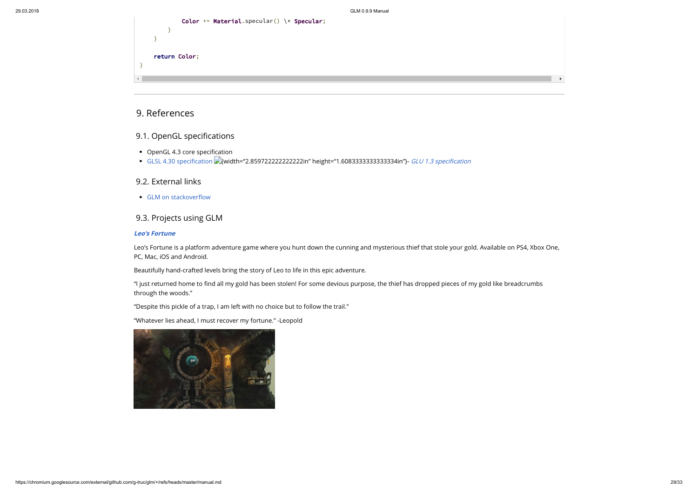

# <span id="page-28-0"></span>9. References

# <span id="page-28-1"></span>9.1. OpenGL specifications

- OpenGL 4.3 core specification
- GLSL 4.30 specification (2) width="2.85972222222222222in" height="1.60833333333333334in"}- GLU 1.3 specification

### <span id="page-28-2"></span>9.2. External links

• GLM on stackoverflow

# <span id="page-28-3"></span>9.3. Projects using GLM

### [Leo's Fortune](http://www.leosfortune.com/)

"I just returned home to find all my gold has been stolen! For some devious purpose, the thief has dropped pieces of my gold like breadcrumbs through the woods."

Leo's Fortune is a platform adventure game where you hunt down the cunning and mysterious thief that stole your gold. Available on PS4, Xbox One, PC, Mac, iOS and Android.

Beautifully hand-crafted levels bring the story of Leo to life in this epic adventure.

"Despite this pickle of a trap, I am left with no choice but to follow the trail."

"Whatever lies ahead, I must recover my fortune." -Leopold



|                | Color += Material.specular() $\setminus *$ Specular; |
|----------------|------------------------------------------------------|
|                |                                                      |
|                |                                                      |
|                |                                                      |
|                | return Color;                                        |
|                |                                                      |
|                |                                                      |
| $\blacksquare$ |                                                      |
|                |                                                      |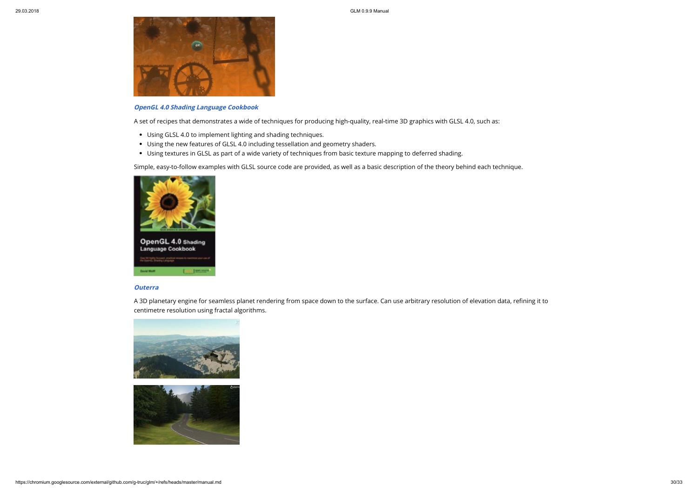

### [OpenGL 4.0 Shading Language Cookbook](http://www.packtpub.com/opengl-4-0-shading-language-cookbook/book?tag=rk/opengl4-abr1/0811)

A set of recipes that demonstrates a wide of techniques for producing high-quality, real-time 3D graphics with GLSL 4.0, such as:

- Using GLSL 4.0 to implement lighting and shading techniques.
- Using the new features of GLSL 4.0 including tessellation and geometry shaders.
- Using textures in GLSL as part of a wide variety of techniques from basic texture mapping to deferred shading.

A 3D planetary engine for seamless planet rendering from space down to the surface. Can use arbitrary resolution of elevation data, refining it to centimetre resolution using fractal algorithms.



Simple, easy-to-follow examples with GLSL source code are provided, as well as a basic description of the theory behind each technique.



### **[Outerra](http://outerra.com/)**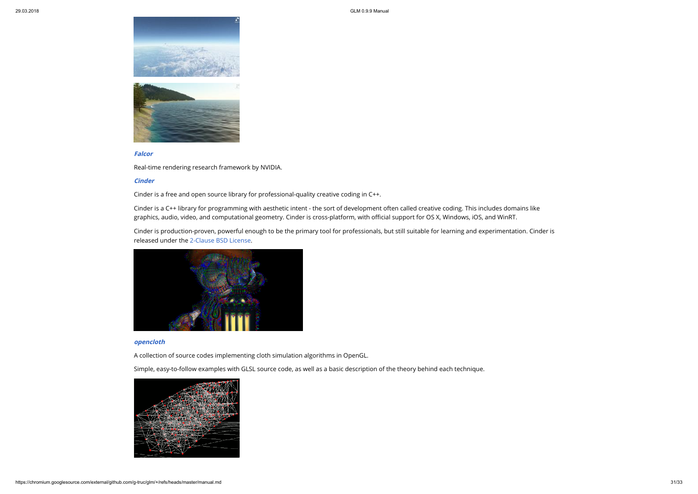

### [Falcor](https://github.com/NVIDIA/Falcor)

Cinder is a C++ library for programming with aesthetic intent - the sort of development often called creative coding. This includes domains like graphics, audio, video, and computational geometry. Cinder is cross-platform, with official support for OS X, Windows, iOS, and WinRT.

Real-time rendering research framework by NVIDIA.

### **[Cinder](https://libcinder.org/)**

Cinder is a free and open source library for professional-quality creative coding in C++.

Cinder is production-proven, powerful enough to be the primary tool for professionals, but still suitable for learning and experimentation. Cinder is released under the [2-Clause BSD License.](http://opensource.org/licenses/BSD-2-Clause)



### [opencloth](http://code.google.com/p/opencloth/)

A collection of source codes implementing cloth simulation algorithms in OpenGL.

Simple, easy-to-follow examples with GLSL source code, as well as a basic description of the theory behind each technique.

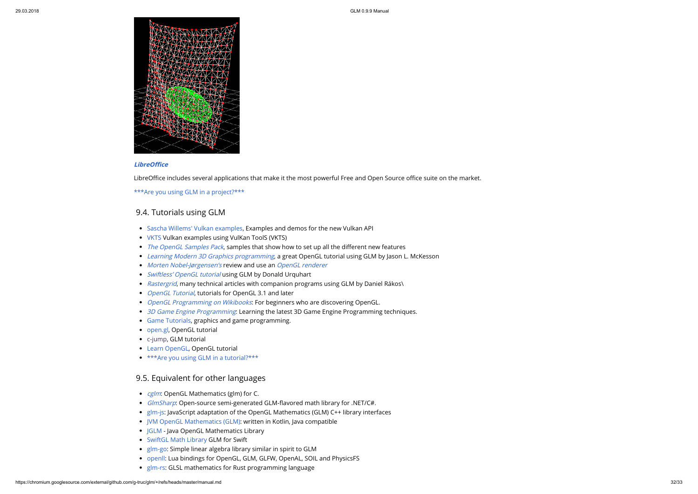

### **LibreOffice**

LibreOffice includes several applications that make it the most powerful Free and Open Source office suite on the market.

- [Sascha Willems' Vulkan examples,](https://github.com/SaschaWillems/Vulkan) Examples and demos for the new Vulkan API
- [VKTS](https://github.com/McNopper/Vulkan) Vulkan examples using VulKan ToolS (VKTS)
- [The OpenGL Samples Pack](http://www.g-truc.net/project-0026.html#menu), samples that show how to set up all the different new features
- [Learning Modern 3D Graphics programming](http://www.arcsynthesis.org/gltut/), a great OpenGL tutorial using GLM by Jason L. McKesson
- [Morten Nobel-Jørgensen's](http://blog.nobel-joergensen.com/2011/04/02/glm-brilliant-math-library-for-opengl/) review and use an [OpenGL renderer](https://github.com/mortennobel/RenderE)
- [Swiftless' OpenGL tutorial](http://www.swiftless.com/opengltuts.html) using GLM by Donald Urquhart
- [Rastergrid](http://rastergrid.com/blog/), many technical articles with companion programs using GLM by Daniel Rákos\
- [OpenGL Tutorial](http://www.opengl-tutorial.org/), tutorials for OpenGL 3.1 and later
- [OpenGL Programming on Wikibooks](http://en.wikibooks.org/wiki/OpenGL_Programming): For beginners who are discovering OpenGL.
- [3D Game Engine Programming](http://3dgep.com/): Learning the latest 3D Game Engine Programming techniques.
- [Game Tutorials](http://www.gametutorials.com/opengl-4-matrices-and-glm/), graphics and game programming.
- [open.gl](https://open.gl/), OpenGL tutorial
- [c-jump,](http://www.c-jump.com/bcc/common/Talk3/Math/GLM/GLM.html) GLM tutorial
- [Learn OpenGL,](http://learnopengl.com/) OpenGL tutorial
- [\\*\\*\\*Are you using GLM in a tutorial?\\*\\*\\*](mailto:glm@g-truc.net)

[\\*\\*\\*Are you using GLM in a project?\\*\\*\\*](mailto:glm@g-truc.net)

### <span id="page-31-0"></span>9.4. Tutorials using GLM

## <span id="page-31-1"></span>9.5. Equivalent for other languages

- [cglm](https://github.com/recp/cglm): OpenGL Mathematics (glm) for C.
- [GlmSharp](https://github.com/Philip-Trettner/GlmSharp): Open-source semi-generated GLM-flavored math library for .NET/C#.
- [glm-js](https://github.com/humbletim/glm-js): JavaScript adaptation of the OpenGL Mathematics (GLM) C++ library interfaces
- [JVM OpenGL Mathematics \(GLM\):](https://github.com/kotlin-graphics/glm) written in Kotlin, Java compatible
- [JGLM](https://github.com/jroyalty/jglm) Java OpenGL Mathematics Library
- [SwiftGL Math Library](https://github.com/SwiftGL/Math/blob/master/Sources/glm.swift) GLM for Swift
- [glm-go:](https://github.com/jbowtie/glm-go) Simple linear algebra library similar in spirit to GLM
- [openll:](https://github.com/Polkm/openll) Lua bindings for OpenGL, GLM, GLFW, OpenAL, SOIL and PhysicsFS
- [glm-rs:](https://github.com/dche/glm-rs) GLSL mathematics for Rust programming language